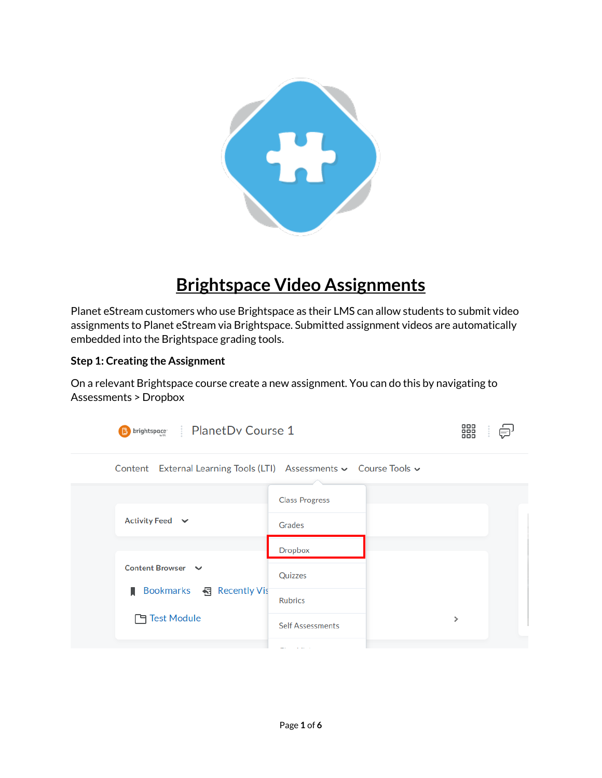

## **Brightspace Video Assignments**

Planet eStream customers who use Brightspace as their LMS can allow students to submit video assignments to Planet eStream via Brightspace. Submitted assignment videos are automatically embedded into the Brightspace grading tools.

## **Step 1: Creating the Assignment**

On a relevant Brightspace course create a new assignment. You can do this by navigating to Assessments > Dropbox

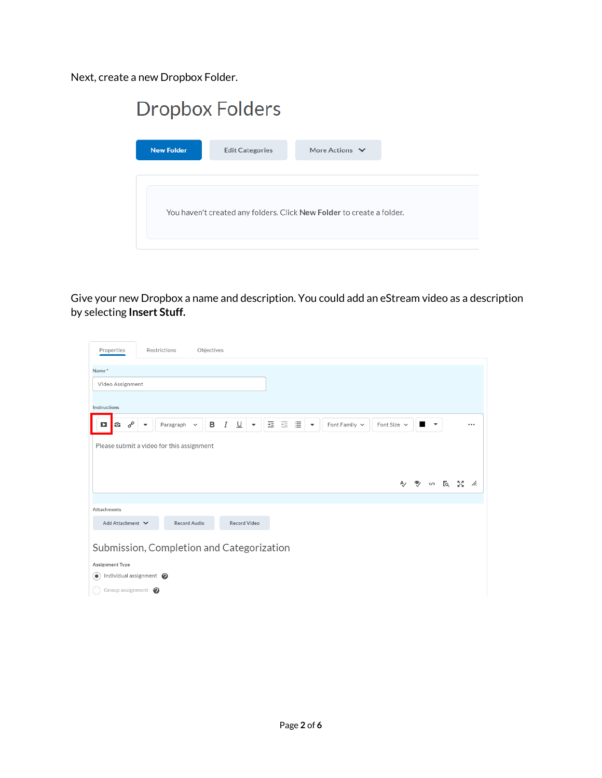Next, create a new Dropbox Folder.

| <b>New Folder</b><br><b>Edit Categories</b>                           |                     |
|-----------------------------------------------------------------------|---------------------|
|                                                                       | More Actions $\vee$ |
| You haven't created any folders. Click New Folder to create a folder. |                     |

Give your new Dropbox a name and description. You could add an eStream video as a description by selecting **Insert Stuff.**

| Properties                                          | Restrictions             |                           | Objectives |                                                   |   |                        |   |                          |                    |                  |              |                          |       |     |
|-----------------------------------------------------|--------------------------|---------------------------|------------|---------------------------------------------------|---|------------------------|---|--------------------------|--------------------|------------------|--------------|--------------------------|-------|-----|
| Name*                                               |                          |                           |            |                                                   |   |                        |   |                          |                    |                  |              |                          |       |     |
| Video Assignment                                    |                          |                           |            |                                                   |   |                        |   |                          |                    |                  |              |                          |       |     |
| Instructions                                        |                          |                           |            |                                                   |   |                        |   |                          |                    |                  |              |                          |       |     |
| $\sigma^{\!\mathcal{O}}$<br>G<br>O                  | $\overline{\phantom{a}}$ | Paragraph<br>$\checkmark$ | B          | $\boldsymbol{I}$<br>⊍<br>$\overline{\phantom{a}}$ | 亖 | $\overline{+}\,\equiv$ | 這 | $\overline{\phantom{a}}$ | Font Family $\vee$ | Font Size $\sim$ | ш            | $\overline{\phantom{a}}$ |       |     |
| Please submit a video for this assignment           |                          |                           |            |                                                   |   |                        |   |                          |                    |                  |              |                          |       |     |
|                                                     |                          |                           |            |                                                   |   |                        |   |                          |                    |                  |              |                          |       |     |
|                                                     |                          |                           |            |                                                   |   |                        |   |                          |                    |                  | $\mathbf{P}$ |                          | ဟ અરિ | /ı. |
|                                                     |                          |                           |            |                                                   |   |                        |   |                          |                    |                  |              |                          |       |     |
| Attachments                                         |                          |                           |            |                                                   |   |                        |   |                          |                    |                  |              |                          |       |     |
| Add Attachment V                                    |                          | Record Audio              |            | <b>Record Video</b>                               |   |                        |   |                          |                    |                  |              |                          |       |     |
| Submission, Completion and Categorization           |                          |                           |            |                                                   |   |                        |   |                          |                    |                  |              |                          |       |     |
| Assignment Type                                     |                          |                           |            |                                                   |   |                        |   |                          |                    |                  |              |                          |       |     |
| Individual assignment @<br>$\left( \bullet \right)$ |                          |                           |            |                                                   |   |                        |   |                          |                    |                  |              |                          |       |     |
| Group assignment $\bullet$                          |                          |                           |            |                                                   |   |                        |   |                          |                    |                  |              |                          |       |     |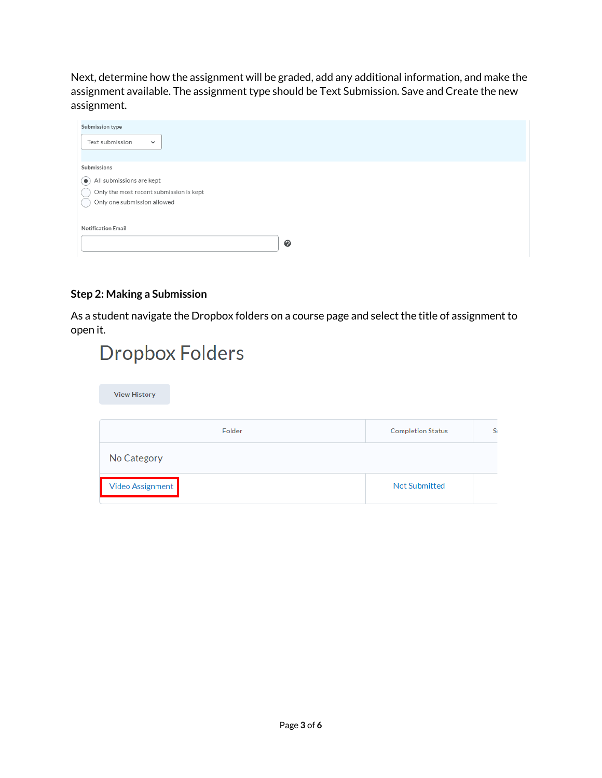Next, determine how the assignment will be graded, add any additional information, and make the assignment available. The assignment type should be Text Submission. Save and Create the new assignment.

| Submission type                         |  |  |  |  |  |  |
|-----------------------------------------|--|--|--|--|--|--|
| Text submission<br>$\checkmark$         |  |  |  |  |  |  |
|                                         |  |  |  |  |  |  |
| Submissions                             |  |  |  |  |  |  |
| All submissions are kept                |  |  |  |  |  |  |
| Only the most recent submission is kept |  |  |  |  |  |  |
| Only one submission allowed             |  |  |  |  |  |  |
|                                         |  |  |  |  |  |  |
| <b>Notification Email</b>               |  |  |  |  |  |  |
|                                         |  |  |  |  |  |  |
|                                         |  |  |  |  |  |  |

## **Step 2: Making a Submission**

As a student navigate the Dropbox folders on a course page and select the title of assignment to open it.

| Dropbox Folders     |                          |    |
|---------------------|--------------------------|----|
| <b>View History</b> |                          |    |
| Folder              | <b>Completion Status</b> | S( |
| No Category         |                          |    |
| Video Assignment    | <b>Not Submitted</b>     |    |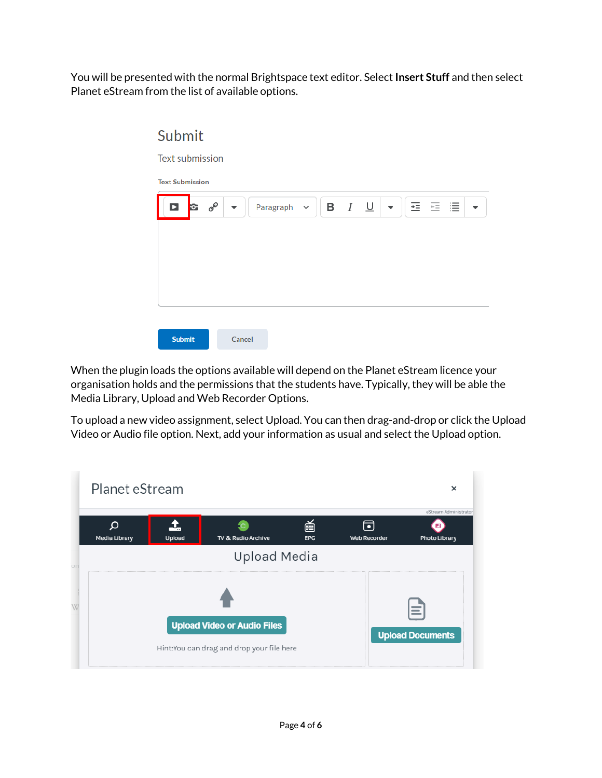You will be presented with the normal Brightspace text editor. Select **Insert Stuff** and then select Planet eStream from the list of available options.



When the plugin loads the options available will depend on the Planet eStream licence your organisation holds and the permissions that the students have. Typically, they will be able the Media Library, Upload and Web Recorder Options.

To upload a new video assignment, select Upload. You can then drag-and-drop or click the Upload Video or Audio file option. Next, add your information as usual and select the Upload option.

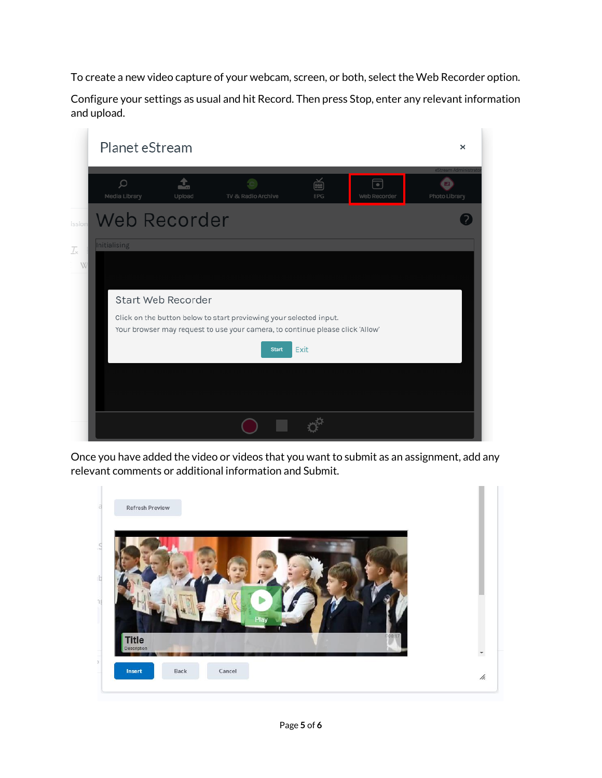To create a new video capture of your webcam, screen, or both, select the Web Recorder option.

Configure your settings as usual and hit Record. Then press Stop, enter any relevant information and upload.



Once you have added the video or videos that you want to submit as an assignment, add any relevant comments or additional information and Submit.